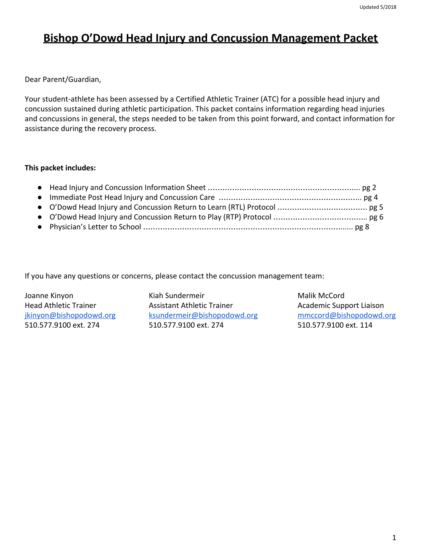# **Bishop O'Dowd Head Injury and Concussion Management Packet**

Dear Parent/Guardian,

Your student-athlete has been assessed by a Certified Athletic Trainer (ATC) for a possible head injury and concussion sustained during athletic participation. This packet contains information regarding head injuries and concussions in general, the steps needed to be taken from this point forward, and contact information for assistance during the recovery process.

### **This packet includes:**

If you have any questions or concerns, please contact the concussion management team:

Joanne Kinyon **Malik McCord** Kiah Sundermeir Malik McCord Head Athletic Trainer **Assistant Athletic Trainer** Academic Support Liaison [jkinyon@bishopodowd.org](mailto:jkinyon@bishopodowd.org) [ksundermeir@bishopodowd.org](mailto:ksundermeir@bishopodowd.org) [mmccord@bishopodowd.org](mailto:mmccord@bishopodowd.org) 510.577.9100 ext. 274 510.577.9100 ext. 274 510.577.9100 ext. 114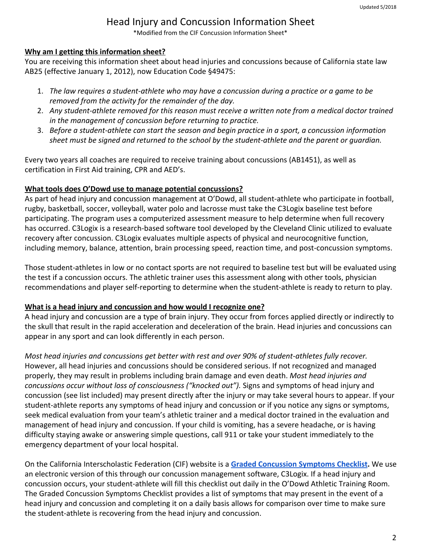# Head Injury and Concussion Information Sheet

\*Modified from the CIF Concussion Information Sheet\*

#### **Why am I getting this information sheet?**

You are receiving this information sheet about head injuries and concussions because of California state law AB25 (effective January 1, 2012), now Education Code §49475:

- 1. *The law requires a student-athlete who may have a concussion during a practice or a game to be removed from the activity for the remainder of the day.*
- 2. *Any student-athlete removed for this reason must receive a written note from a medical doctor trained in the management of concussion before returning to practice.*
- 3. *Before a student-athlete can start the season and begin practice in a sport, a concussion information sheet must be signed and returned to the school by the student-athlete and the parent or guardian.*

Every two years all coaches are required to receive training about concussions (AB1451), as well as certification in First Aid training, CPR and AED's.

#### **What tools does O'Dowd use to manage potential concussions?**

As part of head injury and concussion management at O'Dowd, all student-athlete who participate in football, rugby, basketball, soccer, volleyball, water polo and lacrosse must take the C3Logix baseline test before participating. The program uses a computerized assessment measure to help determine when full recovery has occurred. C3Logix is a research-based software tool developed by the Cleveland Clinic utilized to evaluate recovery after concussion. C3Logix evaluates multiple aspects of physical and neurocognitive function, including memory, balance, attention, brain processing speed, reaction time, and post-concussion symptoms.

Those student-athletes in low or no contact sports are not required to baseline test but will be evaluated using the test if a concussion occurs. The athletic trainer uses this assessment along with other tools, physician recommendations and player self-reporting to determine when the student-athlete is ready to return to play.

#### **What is a head injury and concussion and how would I recognize one?**

A head injury and concussion are a type of brain injury. They occur from forces applied directly or indirectly to the skull that result in the rapid acceleration and deceleration of the brain. Head injuries and concussions can appear in any sport and can look differently in each person.

*Most head injuries and concussions get better with rest and over 90% of student-athletes fully recover.* However, all head injuries and concussions should be considered serious. If not recognized and managed properly, they may result in problems including brain damage and even death. *Most head injuries and concussions occur without loss of consciousness ("knocked out").* Signs and symptoms of head injury and concussion (see list included) may present directly after the injury or may take several hours to appear. If your student-athlete reports any symptoms of head injury and concussion or if you notice any signs or symptoms, seek medical evaluation from your team's athletic trainer and a medical doctor trained in the evaluation and management of head injury and concussion. If your child is vomiting, has a severe headache, or is having difficulty staying awake or answering simple questions, call 911 or take your student immediately to the emergency department of your local hospital.

On the California Interscholastic Federation (CIF) website is a **[Graded Concussion Symptoms Checklist](http://www.cifstate.org/sports-medicine/concussions/CIF_Graded_Concussion_Symptom_Checklist.pdf).** We use an electronic version of this through our concussion management software, C3Logix. If a head injury and concussion occurs, your student-athlete will fill this checklist out daily in the O'Dowd Athletic Training Room. The Graded Concussion Symptoms Checklist provides a list of symptoms that may present in the event of a head injury and concussion and completing it on a daily basis allows for comparison over time to make sure the student-athlete is recovering from the head injury and concussion.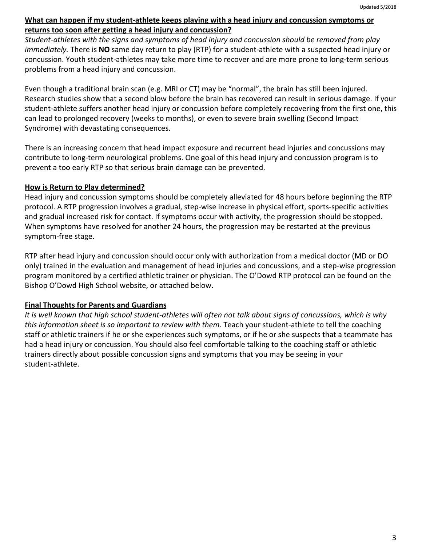#### **What can happen if my student-athlete keeps playing with a head injury and concussion symptoms or returns too soon after getting a head injury and concussion?**

*Student-athletes with the signs and symptoms of head injury and concussion should be removed from play immediately.* There is **NO** same day return to play (RTP) for a student-athlete with a suspected head injury or concussion. Youth student-athletes may take more time to recover and are more prone to long-term serious problems from a head injury and concussion.

Even though a traditional brain scan (e.g. MRI or CT) may be "normal", the brain has still been injured. Research studies show that a second blow before the brain has recovered can result in serious damage. If your student-athlete suffers another head injury or concussion before completely recovering from the first one, this can lead to prolonged recovery (weeks to months), or even to severe brain swelling (Second Impact Syndrome) with devastating consequences.

There is an increasing concern that head impact exposure and recurrent head injuries and concussions may contribute to long-term neurological problems. One goal of this head injury and concussion program is to prevent a too early RTP so that serious brain damage can be prevented.

### **How is Return to Play determined?**

Head injury and concussion symptoms should be completely alleviated for 48 hours before beginning the RTP protocol. A RTP progression involves a gradual, step-wise increase in physical effort, sports-specific activities and gradual increased risk for contact. If symptoms occur with activity, the progression should be stopped. When symptoms have resolved for another 24 hours, the progression may be restarted at the previous symptom-free stage.

RTP after head injury and concussion should occur only with authorization from a medical doctor (MD or DO only) trained in the evaluation and management of head injuries and concussions, and a step-wise progression program monitored by a certified athletic trainer or physician. The O'Dowd RTP protocol can be found on the Bishop O'Dowd High School website, or attached below.

### **Final Thoughts for Parents and Guardians**

*It is well known that high school student-athletes will often not talk about signs of concussions, which is why this information sheet is so important to review with them.* Teach your student-athlete to tell the coaching staff or athletic trainers if he or she experiences such symptoms, or if he or she suspects that a teammate has had a head injury or concussion. You should also feel comfortable talking to the coaching staff or athletic trainers directly about possible concussion signs and symptoms that you may be seeing in your student-athlete.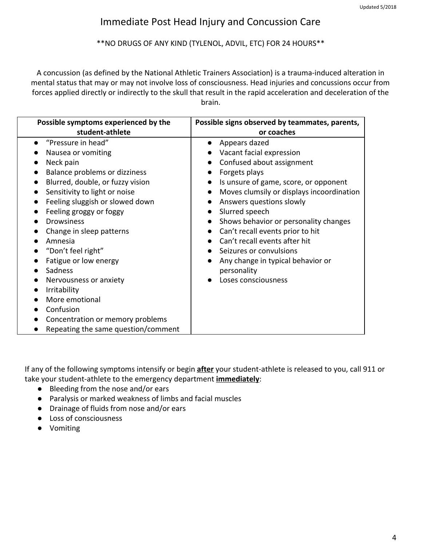# Immediate Post Head Injury and Concussion Care

#### \*\*NO DRUGS OF ANY KIND (TYLENOL, ADVIL, ETC) FOR 24 HOURS\*\*

A concussion (as defined by the National Athletic Trainers Association) is a trauma-induced alteration in mental status that may or may not involve loss of consciousness. Head injuries and concussions occur from forces applied directly or indirectly to the skull that result in the rapid acceleration and deceleration of the brain.

| Possible symptoms experienced by the | Possible signs observed by teammates, parents, |  |
|--------------------------------------|------------------------------------------------|--|
| student-athlete                      | or coaches                                     |  |
| "Pressure in head"                   | Appears dazed<br>$\bullet$                     |  |
| Nausea or vomiting                   | Vacant facial expression                       |  |
| Neck pain                            | Confused about assignment                      |  |
| Balance problems or dizziness        | Forgets plays                                  |  |
| Blurred, double, or fuzzy vision     | Is unsure of game, score, or opponent          |  |
| Sensitivity to light or noise        | Moves clumsily or displays incoordination      |  |
| Feeling sluggish or slowed down      | Answers questions slowly                       |  |
| Feeling groggy or foggy              | Slurred speech                                 |  |
| <b>Drowsiness</b>                    | Shows behavior or personality changes          |  |
| Change in sleep patterns             | Can't recall events prior to hit               |  |
| Amnesia                              | Can't recall events after hit                  |  |
| "Don't feel right"                   | Seizures or convulsions                        |  |
| Fatigue or low energy                | Any change in typical behavior or              |  |
| Sadness                              | personality                                    |  |
| Nervousness or anxiety               | Loses consciousness                            |  |
| Irritability                         |                                                |  |
| More emotional                       |                                                |  |
| Confusion                            |                                                |  |
| Concentration or memory problems     |                                                |  |
| Repeating the same question/comment  |                                                |  |

If any of the following symptoms intensify or begin **after** your student-athlete is released to you, call 911 or take your student-athlete to the emergency department **immediately**:

- Bleeding from the nose and/or ears
- Paralysis or marked weakness of limbs and facial muscles
- Drainage of fluids from nose and/or ears
- Loss of consciousness
- Vomiting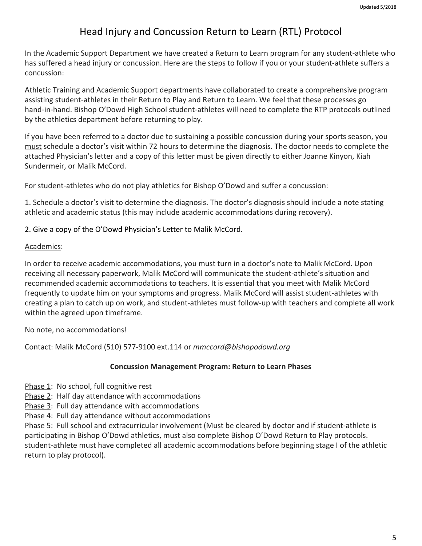# Head Injury and Concussion Return to Learn (RTL) Protocol

In the Academic Support Department we have created a Return to Learn program for any student-athlete who has suffered a head injury or concussion. Here are the steps to follow if you or your student-athlete suffers a concussion:

Athletic Training and Academic Support departments have collaborated to create a comprehensive program assisting student-athletes in their Return to Play and Return to Learn. We feel that these processes go hand-in-hand. Bishop O'Dowd High School student-athletes will need to complete the RTP protocols outlined by the athletics department before returning to play.

If you have been referred to a doctor due to sustaining a possible concussion during your sports season, you must schedule a doctor's visit within 72 hours to determine the diagnosis. The doctor needs to complete the attached Physician's letter and a copy of this letter must be given directly to either Joanne Kinyon, Kiah Sundermeir, or Malik McCord.

For student-athletes who do not play athletics for Bishop O'Dowd and suffer a concussion:

1. Schedule a doctor's visit to determine the diagnosis. The doctor's diagnosis should include a note stating athletic and academic status (this may include academic accommodations during recovery).

2. Give a copy of the O'Dowd Physician's Letter to Malik McCord.

#### Academics:

In order to receive academic accommodations, you must turn in a doctor's note to Malik McCord. Upon receiving all necessary paperwork, Malik McCord will communicate the student-athlete's situation and recommended academic accommodations to teachers. It is essential that you meet with Malik McCord frequently to update him on your symptoms and progress. Malik McCord will assist student-athletes with creating a plan to catch up on work, and student-athletes must follow-up with teachers and complete all work within the agreed upon timeframe.

No note, no accommodations!

Contact: Malik McCord (510) 577-9100 ext.114 or *mmccord@bishopodowd.org*

#### **Concussion Management Program: Return to Learn Phases**

- Phase 1: No school, full cognitive rest
- Phase 2: Half day attendance with accommodations

Phase 3: Full day attendance with accommodations

Phase 4: Full day attendance without accommodations

Phase 5: Full school and extracurricular involvement (Must be cleared by doctor and if student-athlete is participating in Bishop O'Dowd athletics, must also complete Bishop O'Dowd Return to Play protocols. student-athlete must have completed all academic accommodations before beginning stage I of the athletic return to play protocol).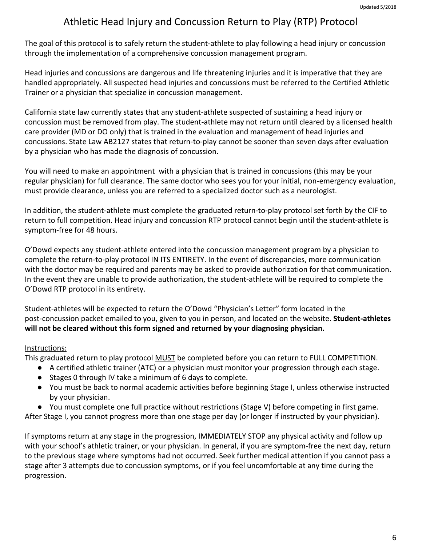# Athletic Head Injury and Concussion Return to Play (RTP) Protocol

The goal of this protocol is to safely return the student-athlete to play following a head injury or concussion through the implementation of a comprehensive concussion management program.

Head injuries and concussions are dangerous and life threatening injuries and it is imperative that they are handled appropriately. All suspected head injuries and concussions must be referred to the Certified Athletic Trainer or a physician that specialize in concussion management.

California state law currently states that any student-athlete suspected of sustaining a head injury or concussion must be removed from play. The student-athlete may not return until cleared by a licensed health care provider (MD or DO only) that is trained in the evaluation and management of head injuries and concussions. State Law AB2127 states that return-to-play cannot be sooner than seven days after evaluation by a physician who has made the diagnosis of concussion.

You will need to make an appointment with a physician that is trained in concussions (this may be your regular physician) for full clearance. The same doctor who sees you for your initial, non-emergency evaluation, must provide clearance, unless you are referred to a specialized doctor such as a neurologist.

In addition, the student-athlete must complete the graduated return-to-play protocol set forth by the CIF to return to full competition. Head injury and concussion RTP protocol cannot begin until the student-athlete is symptom-free for 48 hours.

O'Dowd expects any student-athlete entered into the concussion management program by a physician to complete the return-to-play protocol IN ITS ENTIRETY. In the event of discrepancies, more communication with the doctor may be required and parents may be asked to provide authorization for that communication. In the event they are unable to provide authorization, the student-athlete will be required to complete the O'Dowd RTP protocol in its entirety.

Student-athletes will be expected to return the O'Dowd "Physician's Letter" form located in the post-concussion packet emailed to you, given to you in person, and located on the website. **Student-athletes will not be cleared without this form signed and returned by your diagnosing physician.**

### Instructions:

This graduated return to play protocol **MUST** be completed before you can return to FULL COMPETITION.

- A certified athletic trainer (ATC) or a physician must monitor your progression through each stage.
- Stages 0 through IV take a minimum of 6 days to complete.
- You must be back to normal academic activities before beginning Stage I, unless otherwise instructed by your physician.
- You must complete one full practice without restrictions (Stage V) before competing in first game.

After Stage I, you cannot progress more than one stage per day (or longer if instructed by your physician).

If symptoms return at any stage in the progression, IMMEDIATELY STOP any physical activity and follow up with your school's athletic trainer, or your physician. In general, if you are symptom-free the next day, return to the previous stage where symptoms had not occurred. Seek further medical attention if you cannot pass a stage after 3 attempts due to concussion symptoms, or if you feel uncomfortable at any time during the progression.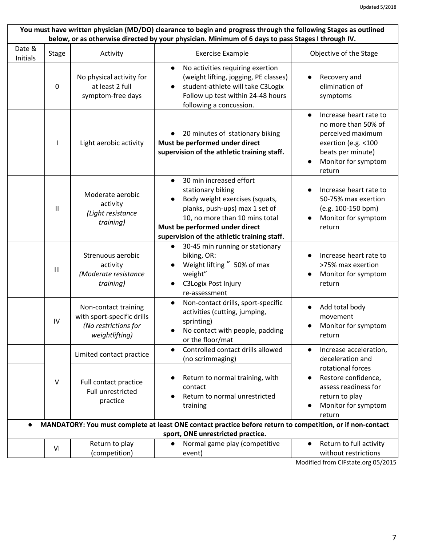| You must have written physician (MD/DO) clearance to begin and progress through the following Stages as outlined<br>below, or as otherwise directed by your physician. Minimum of 6 days to pass Stages I through IV. |                |                                                                                              |                                                                                                                                                                                                                                                               |                                                                                                                                                              |  |  |
|-----------------------------------------------------------------------------------------------------------------------------------------------------------------------------------------------------------------------|----------------|----------------------------------------------------------------------------------------------|---------------------------------------------------------------------------------------------------------------------------------------------------------------------------------------------------------------------------------------------------------------|--------------------------------------------------------------------------------------------------------------------------------------------------------------|--|--|
| Date &<br>Initials                                                                                                                                                                                                    | <b>Stage</b>   | Activity                                                                                     | <b>Exercise Example</b>                                                                                                                                                                                                                                       | Objective of the Stage                                                                                                                                       |  |  |
|                                                                                                                                                                                                                       | 0              | No physical activity for<br>at least 2 full<br>symptom-free days                             | No activities requiring exertion<br>$\bullet$<br>(weight lifting, jogging, PE classes)<br>student-athlete will take C3Logix<br>$\bullet$<br>Follow up test within 24-48 hours<br>following a concussion.                                                      | Recovery and<br>elimination of<br>symptoms                                                                                                                   |  |  |
|                                                                                                                                                                                                                       |                | Light aerobic activity                                                                       | 20 minutes of stationary biking<br>Must be performed under direct<br>supervision of the athletic training staff.                                                                                                                                              | Increase heart rate to<br>$\bullet$<br>no more than 50% of<br>perceived maximum<br>exertion (e.g. <100<br>beats per minute)<br>Monitor for symptom<br>return |  |  |
|                                                                                                                                                                                                                       | $\mathbf{II}$  | Moderate aerobic<br>activity<br>(Light resistance<br>training)                               | 30 min increased effort<br>$\bullet$<br>stationary biking<br>Body weight exercises (squats,<br>$\bullet$<br>planks, push-ups) max 1 set of<br>10, no more than 10 mins total<br>Must be performed under direct<br>supervision of the athletic training staff. | Increase heart rate to<br>50-75% max exertion<br>(e.g. 100-150 bpm)<br>Monitor for symptom<br>return                                                         |  |  |
|                                                                                                                                                                                                                       | $\mathbf{III}$ | Strenuous aerobic<br>activity<br>(Moderate resistance<br>training)                           | 30-45 min running or stationary<br>$\bullet$<br>biking, OR:<br>Weight lifting " 50% of max<br>weight"<br><b>C3Logix Post Injury</b><br>re-assessment                                                                                                          | Increase heart rate to<br>>75% max exertion<br>Monitor for symptom<br>return                                                                                 |  |  |
|                                                                                                                                                                                                                       | ${\sf IV}$     | Non-contact training<br>with sport-specific drills<br>(No restrictions for<br>weightlifting) | Non-contact drills, sport-specific<br>$\bullet$<br>activities (cutting, jumping,<br>sprinting)<br>No contact with people, padding<br>or the floor/mat                                                                                                         | Add total body<br>movement<br>Monitor for symptom<br>return                                                                                                  |  |  |
|                                                                                                                                                                                                                       |                | Limited contact practice                                                                     | Controlled contact drills allowed<br>$\bullet$<br>(no scrimmaging)                                                                                                                                                                                            | Increase acceleration,<br>$\bullet$<br>deceleration and                                                                                                      |  |  |
|                                                                                                                                                                                                                       | V              | Full contact practice<br>Full unrestricted<br>practice                                       | Return to normal training, with<br>$\bullet$<br>contact<br>Return to normal unrestricted<br>training                                                                                                                                                          | rotational forces<br>Restore confidence,<br>assess readiness for<br>return to play<br>Monitor for symptom<br>return                                          |  |  |
| MANDATORY: You must complete at least ONE contact practice before return to competition, or if non-contact<br>sport, ONE unrestricted practice.                                                                       |                |                                                                                              |                                                                                                                                                                                                                                                               |                                                                                                                                                              |  |  |
|                                                                                                                                                                                                                       | VI             | Return to play<br>(competition)                                                              | Normal game play (competitive<br>event)                                                                                                                                                                                                                       | Return to full activity<br>$\bullet$<br>without restrictions                                                                                                 |  |  |

Modified from CIFstate.org 05/2015